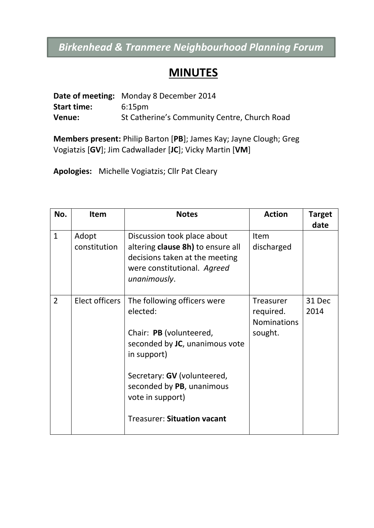## *Birkenhead & Tranmere Neighbourhood Planning Forum*

## **MINUTES**

|                    | <b>Date of meeting:</b> Monday 8 December 2014 |
|--------------------|------------------------------------------------|
| <b>Start time:</b> | 6:15 <sub>pm</sub>                             |
| Venue:             | St Catherine's Community Centre, Church Road   |

**Members present:** Philip Barton [**PB**]; James Kay; Jayne Clough; Greg Vogiatzis [**GV**]; Jim Cadwallader [**JC**]; Vicky Martin [**VM**]

**Apologies:** Michelle Vogiatzis; Cllr Pat Cleary

| No.            | Item                  | <b>Notes</b>                                                                                                                                                                                                                              | <b>Action</b>                                                  | <b>Target</b><br>date |
|----------------|-----------------------|-------------------------------------------------------------------------------------------------------------------------------------------------------------------------------------------------------------------------------------------|----------------------------------------------------------------|-----------------------|
| $\mathbf{1}$   | Adopt<br>constitution | Discussion took place about<br>altering clause 8h) to ensure all<br>decisions taken at the meeting<br>were constitutional. Agreed<br>unanimously.                                                                                         | Item<br>discharged                                             |                       |
| $\overline{2}$ | Elect officers        | The following officers were<br>elected:<br>Chair: PB (volunteered,<br>seconded by JC, unanimous vote<br>in support)<br>Secretary: GV (volunteered,<br>seconded by PB, unanimous<br>vote in support)<br><b>Treasurer: Situation vacant</b> | <b>Treasurer</b><br>required.<br><b>Nominations</b><br>sought. | 31 Dec<br>2014        |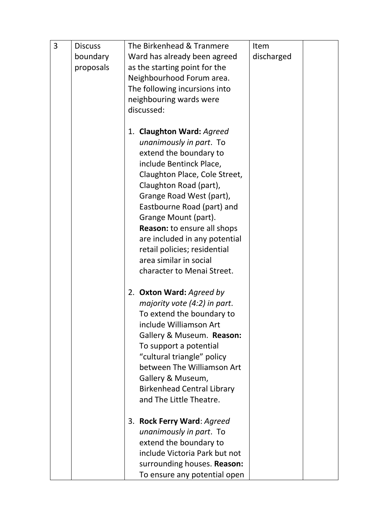| 3 | <b>Discuss</b> | The Birkenhead & Tranmere          | Item       |  |
|---|----------------|------------------------------------|------------|--|
|   | boundary       | Ward has already been agreed       | discharged |  |
|   | proposals      | as the starting point for the      |            |  |
|   |                | Neighbourhood Forum area.          |            |  |
|   |                | The following incursions into      |            |  |
|   |                | neighbouring wards were            |            |  |
|   |                | discussed:                         |            |  |
|   |                |                                    |            |  |
|   |                | 1. Claughton Ward: Agreed          |            |  |
|   |                | unanimously in part. To            |            |  |
|   |                | extend the boundary to             |            |  |
|   |                | include Bentinck Place,            |            |  |
|   |                | Claughton Place, Cole Street,      |            |  |
|   |                | Claughton Road (part),             |            |  |
|   |                | Grange Road West (part),           |            |  |
|   |                | Eastbourne Road (part) and         |            |  |
|   |                | Grange Mount (part).               |            |  |
|   |                | <b>Reason:</b> to ensure all shops |            |  |
|   |                | are included in any potential      |            |  |
|   |                | retail policies; residential       |            |  |
|   |                | area similar in social             |            |  |
|   |                | character to Menai Street.         |            |  |
|   |                | 2. Oxton Ward: Agreed by           |            |  |
|   |                | majority vote (4:2) in part.       |            |  |
|   |                | To extend the boundary to          |            |  |
|   |                | include Williamson Art             |            |  |
|   |                | Gallery & Museum. Reason:          |            |  |
|   |                | To support a potential             |            |  |
|   |                | "cultural triangle" policy         |            |  |
|   |                | between The Williamson Art         |            |  |
|   |                | Gallery & Museum,                  |            |  |
|   |                | <b>Birkenhead Central Library</b>  |            |  |
|   |                | and The Little Theatre.            |            |  |
|   |                | 3. Rock Ferry Ward: Agreed         |            |  |
|   |                | unanimously in part. To            |            |  |
|   |                | extend the boundary to             |            |  |
|   |                | include Victoria Park but not      |            |  |
|   |                | surrounding houses. Reason:        |            |  |
|   |                | To ensure any potential open       |            |  |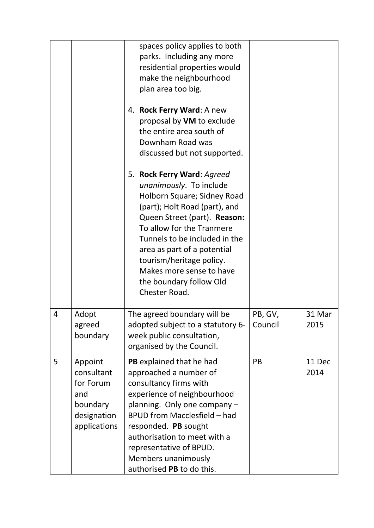|   |                                                                                      | spaces policy applies to both<br>parks. Including any more<br>residential properties would<br>make the neighbourhood<br>plan area too big.<br>4. Rock Ferry Ward: A new<br>proposal by VM to exclude<br>the entire area south of<br>Downham Road was<br>discussed but not supported.<br>5. Rock Ferry Ward: Agreed<br>unanimously. To include<br>Holborn Square; Sidney Road<br>(part); Holt Road (part), and<br>Queen Street (part). Reason:<br>To allow for the Tranmere<br>Tunnels to be included in the<br>area as part of a potential<br>tourism/heritage policy.<br>Makes more sense to have<br>the boundary follow Old<br>Chester Road. |                    |                |
|---|--------------------------------------------------------------------------------------|------------------------------------------------------------------------------------------------------------------------------------------------------------------------------------------------------------------------------------------------------------------------------------------------------------------------------------------------------------------------------------------------------------------------------------------------------------------------------------------------------------------------------------------------------------------------------------------------------------------------------------------------|--------------------|----------------|
| 4 | Adopt<br>agreed<br>boundary                                                          | The agreed boundary will be<br>adopted subject to a statutory 6-<br>week public consultation,<br>organised by the Council.                                                                                                                                                                                                                                                                                                                                                                                                                                                                                                                     | PB, GV,<br>Council | 31 Mar<br>2015 |
| 5 | Appoint<br>consultant<br>for Forum<br>and<br>boundary<br>designation<br>applications | PB explained that he had<br>approached a number of<br>consultancy firms with<br>experience of neighbourhood<br>planning. Only one company -<br>BPUD from Macclesfield - had<br>responded. PB sought<br>authorisation to meet with a<br>representative of BPUD.<br>Members unanimously<br>authorised PB to do this.                                                                                                                                                                                                                                                                                                                             | PB                 | 11 Dec<br>2014 |